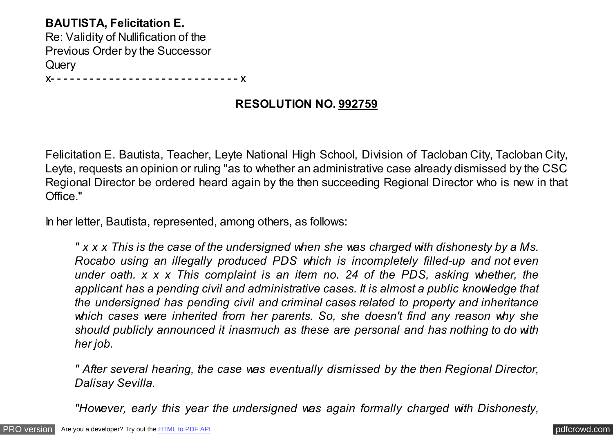## **BAUTISTA, Felicitation E.**

Re: Validity of Nullification of the Previous Order by the Successor **Query** 

x- - - - - - - - - - - - - - - - - - - - - - - - - - - - - x

# **RESOLUTION NO. 992759**

Felicitation E. Bautista, Teacher, Leyte National High School, Division of Tacloban City, Tacloban City, Leyte, requests an opinion or ruling "as to whether an administrative case already dismissed by the CSC Regional Director be ordered heard again by the then succeeding Regional Director who is new in that Office."

In her letter, Bautista, represented, among others, as follows:

*" x x x This is the case of the undersigned when she was charged with dishonesty by a Ms. Rocabo using an illegally produced PDS which is incompletely filled-up and not even under oath. x x x This complaint is an item no. 24 of the PDS, asking whether, the applicant has a pending civil and administrative cases. It is almost a public knowledge that the undersigned has pending civil and criminal cases related to property and inheritance which cases were inherited from her parents. So, she doesn't find any reason why she should publicly announced it inasmuch as these are personal and has nothing to do with her job.*

*" After several hearing, the case was eventually dismissed by the then Regional Director, Dalisay Sevilla.*

*"However, early this year the undersigned was again formally charged with Dishonesty,*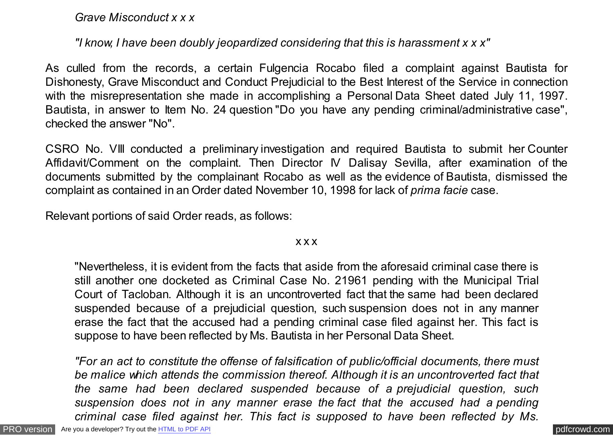*Grave Misconduct x x x*

## *"I know, I have been doubly jeopardized considering that this is harassment x x x"*

As culled from the records, a certain Fulgencia Rocabo filed a complaint against Bautista for Dishonesty, Grave Misconduct and Conduct Prejudicial to the Best Interest of the Service in connection with the misrepresentation she made in accomplishing a Personal Data Sheet dated July 11, 1997. Bautista, in answer to Item No. 24 question "Do you have any pending criminal/administrative case", checked the answer "No".

CSRO No. VIII conducted a preliminary investigation and required Bautista to submit her Counter Affidavit/Comment on the complaint. Then Director IV Dalisay Sevilla, after examination of the documents submitted by the complainant Rocabo as well as the evidence of Bautista, dismissed the complaint as contained in an Order dated November 10, 1998 for lack of *prima facie* case.

Relevant portions of said Order reads, as follows:

#### x x x

"Nevertheless, it is evident from the facts that aside from the aforesaid criminal case there is still another one docketed as Criminal Case No. 21961 pending with the Municipal Trial Court of Tacloban. Although it is an uncontroverted fact that the same had been declared suspended because of a prejudicial question, such suspension does not in any manner erase the fact that the accused had a pending criminal case filed against her. This fact is suppose to have been reflected by Ms. Bautista in her Personal Data Sheet.

*"For an act to constitute the offense of falsification of public/official documents, there must be malice which attends the commission thereof. Although it is an uncontroverted fact that the same had been declared suspended because of a prejudicial question, such suspension does not in any manner erase the fact that the accused had a pending criminal case filed against her. This fact is supposed to have been reflected by Ms.*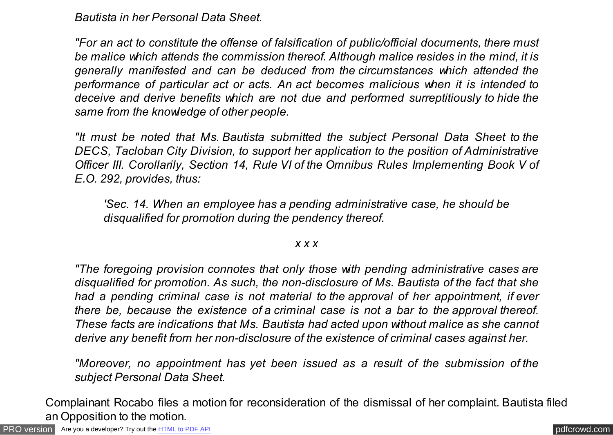*Bautista in her Personal Data Sheet.*

*"For an act to constitute the offense of falsification of public/official documents, there must be malice which attends the commission thereof. Although malice resides in the mind, it is generally manifested and can be deduced from the circumstances which attended the performance of particular act or acts. An act becomes malicious when it is intended to deceive and derive benefits which are not due and performed surreptitiously to hide the same from the knowledge of other people.*

*"It must be noted that Ms. Bautista submitted the subject Personal Data Sheet to the DECS, Tacloban City Division, to support her application to the position of Administrative Officer III. Corollarily, Section 14, Rule VI of the Omnibus Rules Implementing Book V of E.O. 292, provides, thus:*

*'Sec. 14. When an employee has a pending administrative case, he should be disqualified for promotion during the pendency thereof.*

### *x x x*

*"The foregoing provision connotes that only those with pending administrative cases are disqualified for promotion. As such, the non-disclosure of Ms. Bautista of the fact that she had a pending criminal case is not material to the approval of her appointment, if ever there be, because the existence of a criminal case is not a bar to the approval thereof. These facts are indications that Ms. Bautista had acted upon without malice as she cannot derive any benefit from her non-disclosure of the existence of criminal cases against her.*

*"Moreover, no appointment has yet been issued as a result of the submission of the subject Personal Data Sheet.*

Complainant Rocabo files a motion for reconsideration of the dismissal of her complaint. Bautista filed an Opposition to the motion.

[PRO version](http://pdfcrowd.com/customize/) Are you a developer? Try out th[e HTML to PDF API](http://pdfcrowd.com/html-to-pdf-api/?ref=pdf) contract the contract of the HTML to PDF API [pdfcrowd.com](http://pdfcrowd.com)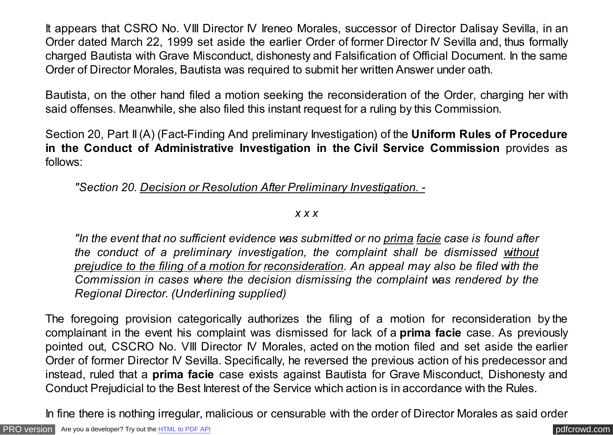It appears that CSRO No. VIII Director IV Ireneo Morales, successor of Director Dalisay Sevilla, in an Order dated March 22, 1999 set aside the earlier Order of former Director IV Sevilla and, thus formally charged Bautista with Grave Misconduct, dishonesty and Falsification of Official Document. In the same Order of Director Morales, Bautista was required to submit her written Answer under oath.

Bautista, on the other hand filed a motion seeking the reconsideration of the Order, charging her with said offenses. Meanwhile, she also filed this instant request for a ruling by this Commission.

Section 20, Part II (A) (Fact-Finding And preliminary Investigation) of the **Uniform Rules of Procedure in the Conduct of Administrative Investigation in the Civil Service Commission** provides as follows:

*"Section 20. Decision or Resolution After Preliminary Investigation. -*

*x x x*

*"In the event that no sufficient evidence was submitted or no prima facie case is found after the conduct of a preliminary investigation, the complaint shall be dismissed without prejudice to the filing of a motion for reconsideration. An appeal may also be filed with the Commission in cases where the decision dismissing the complaint was rendered by the Regional Director. (Underlining supplied)*

The foregoing provision categorically authorizes the filing of a motion for reconsideration by the complainant in the event his complaint was dismissed for lack of a **prima facie** case. As previously pointed out, CSCRO No. VIII Director IV Morales, acted on the motion filed and set aside the earlier Order of former Director IV Sevilla. Specifically, he reversed the previous action of his predecessor and instead, ruled that a **prima facie** case exists against Bautista for Grave Misconduct, Dishonesty and Conduct Prejudicial to the Best Interest of the Service which action is in accordance with the Rules.

In fine there is nothing irregular, malicious or censurable with the order of Director Morales as said order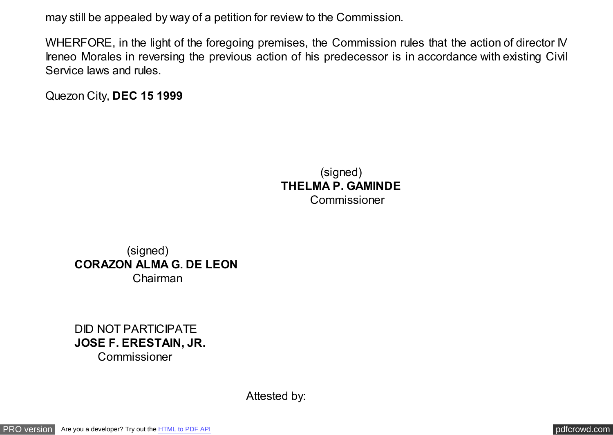may still be appealed by way of a petition for review to the Commission.

WHERFORE, in the light of the foregoing premises, the Commission rules that the action of director IV Ireneo Morales in reversing the previous action of his predecessor is in accordance with existing Civil Service laws and rules.

Quezon City, **DEC 15 1999**

 (signed) **THELMA P. GAMINDE** Commissioner

 (signed) **CORAZON ALMA G. DE LEON**  Chairman

DID NOT PARTICIPATE **JOSE F. ERESTAIN, JR.** 

Commissioner

Attested by: